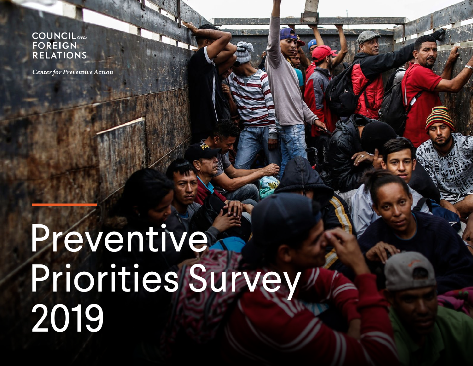## **COUNCIL**<sub>on</sub> **FOREIGN RELATIONS**

**Center for Preventive Action** 

# Preventive Priorities Survey 2019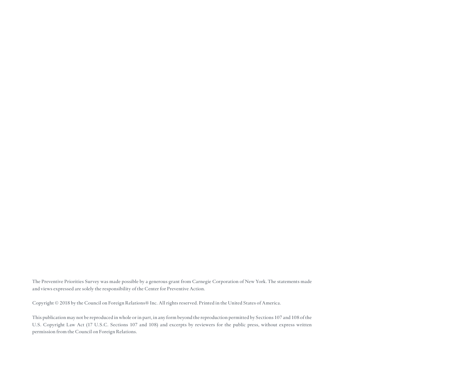The Preventive Priorities Survey was made possible by a generous grant from Carnegie Corporation of New York. The statements made and views expressed are solely the responsibility of the Center for Preventive Action.

Copyright © 2018 by the Council on Foreign Relations® Inc. All rights reserved. Printed in the United States of America.

This publication may not be reproduced in whole or in part, in any form beyond the reproduction permitted by Sections 107 and 108 of the U.S. Copyright Law Act (17 U.S.C. Sections 107 and 108) and excerpts by reviewers for the public press, without express written permission from the Council on Foreign Relations.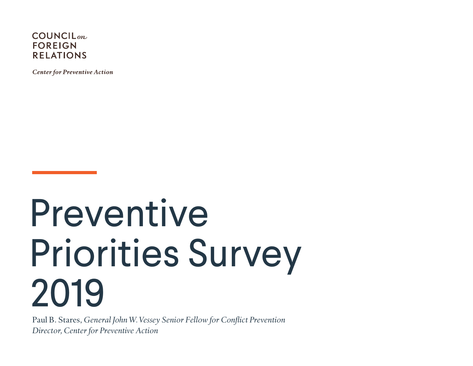## **COUNCIL**<sub>on</sub> **FOREIGN RELATIONS**

**Center for Preventive Action** 

# Preventive Priorities Survey 2019

Paul B. Stares, *General John W. Vessey Senior Fellow for Conflict Prevention Director, Center for Preventive Action*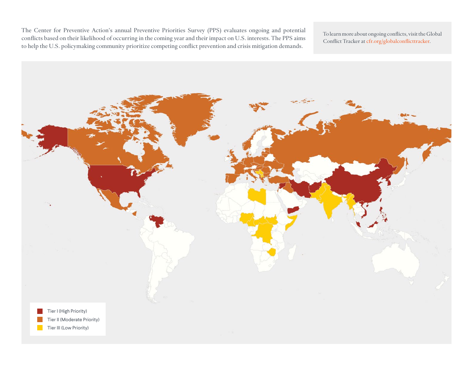The Center for Preventive Action's annual Preventive Priorities Survey (PPS) evaluates ongoing and potential conflicts based on their likelihood of occurring in the coming year and their impact on U.S. interests. The PPS aims to help the U.S. policymaking community prioritize competing conflict prevention and crisis mitigation demands.

To learn more about ongoing conflicts, visit the Global Conflict Tracker at [cfr.org/globalconflicttracker.](http://cfr.org/globalconflicttracker)

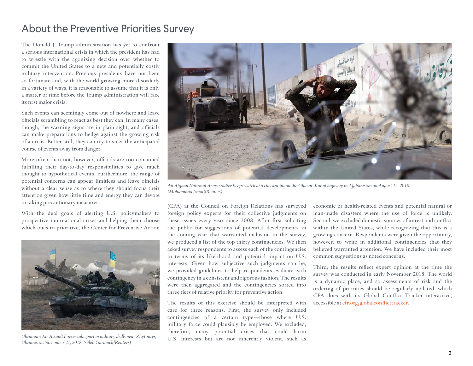## About the Preventive Priorities Survey

The Donald J. Trump administration has yet to confront a serious international crisis in which the president has had to wrestle with the agonizing decision over whether to commit the United States to a new and potentially costly military intervention. Previous presidents have not been so fortunate and, with the world growing more disorderly in a variety of ways, it is reasonable to assume that it is only a matter of time before the Trump administration will face its first major crisis.

Such events can seemingly come out of nowhere and leave officials scrambling to react as best they can. In many cases, though, the warning signs are in plain sight, and officials can make preparations to hedge against the growing risk of a crisis. Better still, they can try to steer the anticipated course of events away from danger.

More often than not, however, officials are too consumed fulfilling their day-to-day responsibilities to give much thought to hypothetical events. Furthermore, the range of potential concerns can appear limitless and leave officials without a clear sense as to where they should focus their attention given how little time and energy they can devote to taking precautionary measures.

With the dual goals of alerting U.S. policymakers to prospective international crises and helping them choose which ones to prioritize, the Center for Preventive Action



*Ukrainian Air Assault Forces take part in military drills near Zhytomyr, Ukraine, on November 21, 2018. (Gleb Garanich/Reuters)*



*An Afghan National Army soldier keeps watch at a checkpoint on the Ghazni–Kabul highway in Afghanistan on August 14, 2018. (Mohammad Ismail/Reuters)*

(CPA) at the Council on Foreign Relations has surveyed foreign policy experts for their collective judgments on these issues every year since 2008. After first soliciting the public for suggestions of potential developments in the coming year that warranted inclusion in the survey, we produced a list of the top thirty contingencies. We then asked survey respondents to assess each of the contingencies in terms of its likelihood and potential impact on U.S. interests. Given how subjective such judgments can be, we provided guidelines to help respondents evaluate each contingency in a consistent and rigorous fashion. The results were then aggregated and the contingencies sorted into three tiers of relative priority for preventive action.

The results of this exercise should be interpreted with care for three reasons. First, the survey only included contingencies of a certain type—those where U.S. military force could plausibly be employed. We excluded, therefore, many potential crises that could harm U.S. interests but are not inherently violent, such as

economic or health-related events and potential natural or man-made disasters where the use of force is unlikely. Second, we excluded domestic sources of unrest and conflict within the United States, while recognizing that this is a growing concern. Respondents were given the opportunity, however, to write in additional contingencies that they believed warranted attention. We have included their most common suggestions as noted concerns.

Third, the results reflect expert opinion at the time the survey was conducted in early November 2018. The world is a dynamic place, and so assessments of risk and the ordering of priorities should be regularly updated, which CPA does with its Global Conflict Tracker interactive, accessible at [cfr.org/globalconflicttracker.](http://cfr.org/globalconflicttracker)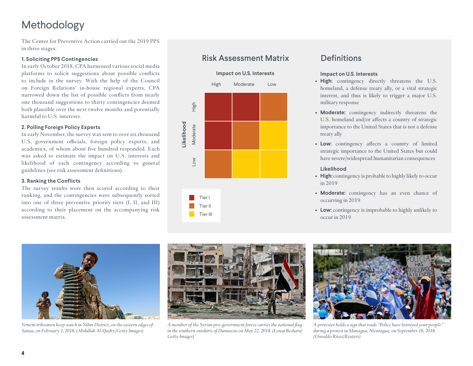## Methodology

The Center for Preventive Action carried out the 2019 PPS in three stages:

#### **1. Soliciting PPS Contingencies**

In early October 2018, CPA harnessed various social media platforms to solicit suggestions about possible conflicts to include in the survey. With the help of the Council on Foreign Relations' in-house regional experts, CPA narrowed down the list of possible conflicts from nearly one thousand suggestions to thirty contingencies deemed both plausible over the next twelve months and potentially harmful to U.S. interests.

#### **2. Polling Foreign Policy Experts**

In early November, the survey was sent to over six thousand U.S. government officials, foreign policy experts, and academics, of whom about five hundred responded. Each was asked to estimate the impact on U.S. interests and likelihood of each contingency according to general guidelines (see risk assessment definitions).

#### **3. Ranking the Conflicts**

The survey results were then scored according to their ranking, and the contingencies were subsequently sorted into one of three preventive priority tiers (I, II, and III) according to their placement on the accompanying risk assessment matrix.



## Risk Assessment Matrix Definitions

#### **Impact on U.S. Interests**

- **• High:** contingency directly threatens the U.S. homeland, a defense treaty ally, or a vital strategic interest, and thus is likely to trigger a major U.S. military response
- **• Moderate:** contingency indirectly threatens the U.S. homeland and/or affects a country of strategic importance to the United States that is not a defense treaty ally
- **• Low:** contingency affects a country of limited strategic importance to the United States but could have severe/widespread humanitarian consequences

#### **Likelihood**

- **• High:** contingency is probable to highly likely to occur in 2019
- **• Moderate:** contingency has an even chance of occurring in 2019
- **• Low:** contingency is improbable to highly unlikely to occur in 2019



*Yemeni tribesmen keep watch in Nihm District, on the eastern edges of Sanaa, on February 2, 2018. (Abdullah Al-Qadry/Getty Images)*



*A member of the Syrian pro-government forces carries the national flag in the southern outskirts of Damascus on May 22, 2018. (Louai Beshara/ Getty Images)*



*A protester holds a sign that reads "Police have betrayed your people" during a protest in Managua, Nicaragua, on September 16, 2018. (Oswaldo Rivas/Reuters)*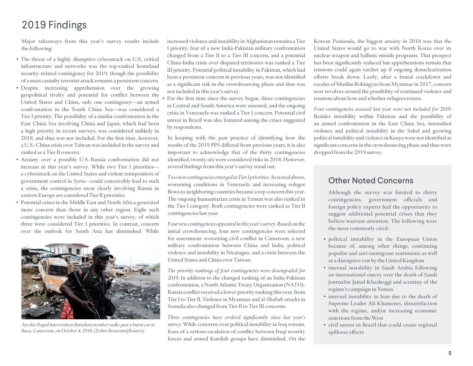## 2019 Findings

Major takeaways from this year's survey results include the following:

- The threat of a highly disruptive cyberattack on U.S. critical infrastructure and networks was the top-ranked homeland security–related contingency for 2019, though the possibility of a mass casualty terrorist attack remains a persistent concern.
- Despite increasing apprehension over the growing geopolitical rivalry and potential for conflict between the United States and China, only one contingency—an armed confrontation in the South China Sea—was considered a Tier I priority. The possibility of a similar confrontation in the East China Sea involving China and Japan, which had been a high priority in recent surveys, was considered unlikely in 2019, and thus was not included. For the first time, however, a U.S.-China crisis over Taiwan was included in the survey and ranked as a Tier II concern.
- Anxiety over a possible U.S.-Russia confrontation did not increase in this year's survey. While two Tier I priorities–– a cyberattack on the United States and violent reimposition of government control in Syria––could conceivably lead to such a crisis, the contingencies most clearly involving Russia in eastern Europe are considered Tier II priorities.
- Potential crises in the Middle East and North Africa generated more concern than those in any other region. Eight such contingencies were included in this year's survey, of which three were considered Tier I priorities. In contrast, concern over the outlook for South Asia has diminished. While



*An elite Rapid Intervention Battalion member walks past a burnt car in Buea, Cameroon, on October 4, 2018. (Zohra Bensemra/Reuters)*

increased violence and instability in Afghanistan remains a Tier I priority, fear of a new India-Pakistan military confrontation changed from a Tier II to a Tier III concern, and a potential China-India crisis over disputed territories was ranked a Tier III priority. Potential political instability in Pakistan, which had been a persistent concern in previous years, was not identified as a significant risk in the crowdsourcing phase and thus was not included in this year's survey.

• For the first time since the survey began, three contingencies in Central and South America were assessed, and the ongoing crisis in Venezuela was ranked a Tier I concern. Potential civil unrest in Brazil was also featured among the crises suggested by respondents.

In keeping with the past practice of identifying how the results of the 2019 PPS differed from previous years, it is also important to acknowledge that of the thirty contingencies identified, twenty-six were considered risks in 2018. However, several findings from this year's survey stand out:

*Two new contingencies emerged as Tier I priorities.* As noted above, worsening conditions in Venezuela and increasing refugee flows to neighboring countries became a top concern this year. The ongoing humanitarian crisis in Yemen was also ranked in the Tier I category. Both contingencies were ranked as Tier II contingencies last year.

*Four new contingencies appeared in this year's survey.* Based on the initial crowdsourcing, four new contingencies were selected for assessment: worsening civil conflict in Cameroon, a new military confrontation between China and India, political violence and instability in Nicaragua, and a crisis between the United States and China over Taiwan.

*The priority rankings of four contingencies were downgraded for 2019.* In addition to the changed ranking of an India-Pakistan confrontation, a North Atlantic Treaty Organization (NATO)- Russia conflict received a lower priority ranking this year, from Tier I to Tier II. Violence in Myanmar and al-Shabab attacks in Somalia also changed from Tier II to Tier III concerns.

*Three contingencies have evolved significantly since last year's survey.* While concerns over political instability in Iraq remain, fears of a serious escalation of conflict between Iraqi security forces and armed Kurdish groups have diminished. On the Korean Peninsula, the biggest anxiety in 2018 was that the United States would go to war with North Korea over its nuclear weapon and ballistic missile programs. That prospect has been significantly reduced but apprehensions remain that tensions could again ratchet up if ongoing denuclearization efforts break down. Lastly, after a brutal crackdown and exodus of Muslim Rohingyas from Myanmar in 2017, concern now revolves around the possibility of continued violence and tensions about how and whether refugees return.

*Four contingencies assessed last year were not included for 2019.*  Besides instability within Pakistan and the possibility of an armed confrontation in the East China Sea, intensified violence and political instability in the Sahel and growing political instability and violence in Kenya were not identified as significant concerns in the crowdsourcing phase and thus were dropped from the 2019 survey.

### Other Noted Concerns

Although the survey was limited to thirty contingencies, government officials and foreign policy experts had the opportunity to suggest additional potential crises that they believe warrant attention. The following were the most commonly cited:

- political instability in the European Union because of, among other things, continuing populist and anti-immigrant sentiments as well as a disruptive exit by the United Kingdom
- internal instability in Saudi Arabia following an international outcry over the death of Saudi journalist Jamal Khashoggi and scrutiny of the regime's campaign in Yemen
- internal instability in Iran due to the death of Supreme Leader Ali Khamenei, dissatisfaction with the regime, and/or increasing economic sanctions from the West
- civil unrest in Brazil that could create regional spillover effects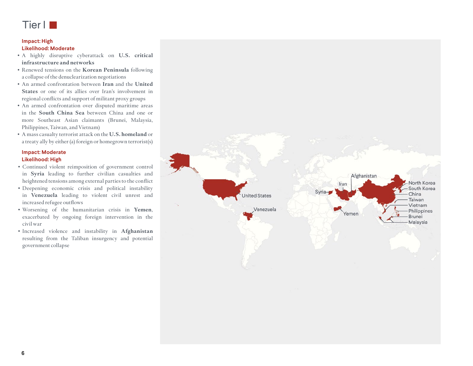

#### **Impact: High Likelihood: Moderate**

- A highly disruptive cyberattack on **U.S. critical infrastructure and networks**
- Renewed tensions on the **Korean Peninsula** following a collapse of the denuclearization negotiations
- An armed confrontation between **Iran** and the **United States** or one of its allies over Iran's involvement in regional conflicts and support of militant proxy groups
- An armed confrontation over disputed maritime areas in the **South China Sea** between China and one or more Southeast Asian claimants (Brunei, Malaysia, Philippines, Taiwan, and Vietnam)
- A mass casualty terrorist attack on the **U.S. homeland** or a treaty ally by either (a) foreign or homegrown terrorist(s)

#### **Impact: Moderate Likelihood: High**

- Continued violent reimposition of government control in **Syria** leading to further civilian casualties and heightened tensions among external parties to the conflict
- Deepening economic crisis and political instability in **Venezuela** leading to violent civil unrest and increased refugee outflows
- Worsening of the humanitarian crisis in **Yemen**, exacerbated by ongoing foreign intervention in the civil war
- Increased violence and instability in **Afghanistan** resulting from the Taliban insurgency and potential government collapse

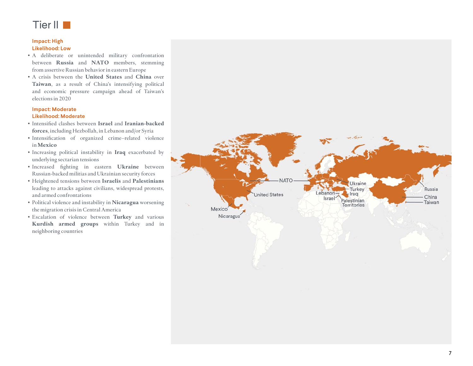

#### **Impact: High Likelihood: Low**

- A deliberate or unintended military confrontation between **Russia** and **NATO** members, stemming from assertive Russian behavior in eastern Europe
- A crisis between the **United States** and **China** over **Taiwan**, as a result of China's intensifying political and economic pressure campaign ahead of Taiwan's elections in 2020

#### **Impact: Moderate Likelihood: Moderate**

- Intensified clashes between **Israel** and **Iranian-backed forces**, including Hezbollah, in Lebanon and/or Syria
- Intensification of organized crime–related violence in **Mexico**
- Increasing political instability in **Iraq** exacerbated by underlying sectarian tensions
- Increased fighting in eastern **Ukraine** between Russian-backed militias and Ukrainian security forces
- Heightened tensions between **Israelis** and **Palestinians** leading to attacks against civilians, widespread protests, and armed confrontations
- Political violence and instability in **Nicaragua** worsening the migration crisis in Central America
- Escalation of violence between **Turkey** and various **Kurdish armed groups** within Turkey and in neighboring countries

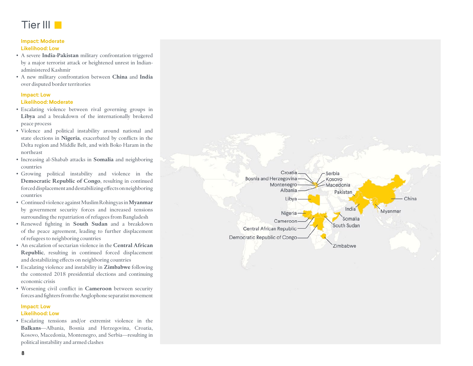## Tier III

#### **Impact: Moderate Likelihood: Low**

- A severe **India-Pakistan** military confrontation triggered by a major terrorist attack or heightened unrest in Indianadministered Kashmir
- A new military confrontation between **China** and **India** over disputed border territories

#### **Impact: Low Likelihood: Moderate**

- Escalating violence between rival governing groups in **Libya** and a breakdown of the internationally brokered peace process
- Violence and political instability around national and state elections in **Nigeria**, exacerbated by conflicts in the Delta region and Middle Belt, and with Boko Haram in the northeast
- Increasing al-Shabab attacks in **Somalia** and neighboring countries
- Growing political instability and violence in the **Democratic Republic of Congo**, resulting in continued forced displacement and destabilizing effects on neighboring countries
- Continued violence against Muslim Rohingyas in **Myanmar** by government security forces and increased tensions surrounding the repatriation of refugees from Bangladesh
- Renewed fighting in **South Sudan** and a breakdown of the peace agreement, leading to further displacement of refugees to neighboring countries
- An escalation of sectarian violence in the **Central African Republic**, resulting in continued forced displacement and destabilizing effects on neighboring countries
- Escalating violence and instability in **Zimbabwe** following the contested 2018 presidential elections and continuing economic crisis
- Worsening civil conflict in **Cameroon** between security forces and fighters from the Anglophone separatist movement

#### **Impact: Low Likelihood: Low**

• Escalating tensions and/or extremist violence in the **Balkans**—Albania, Bosnia and Herzegovina, Croatia, Kosovo, Macedonia, Montenegro, and Serbia—resulting in political instability and armed clashes

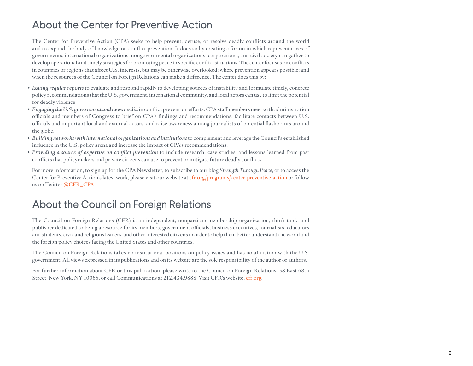## About the Center for Preventive Action

The Center for Preventive Action (CPA) seeks to help prevent, defuse, or resolve deadly conflicts around the world and to expand the body of knowledge on conflict prevention. It does so by creating a forum in which representatives of governments, international organizations, nongovernmental organizations, corporations, and civil society can gather to develop operational and timely strategies for promoting peace in specific conflict situations. The center focuses on conflicts in countries or regions that affect U.S. interests, but may be otherwise overlooked; where prevention appears possible; and when the resources of the Council on Foreign Relations can make a difference. The center does this by:

- *• Issuing regular reports* to evaluate and respond rapidly to developing sources of instability and formulate timely, concrete policy recommendations that the U.S. government, international community, and local actors can use to limit the potential for deadly violence.
- *• Engaging the U.S. government and news media* in conflict prevention efforts. CPA staff members meet with administration officials and members of Congress to brief on CPA's findings and recommendations, facilitate contacts between U.S. officials and important local and external actors, and raise awareness among journalists of potential flashpoints around the globe.
- *• Building networks with international organizations and institutions* to complement and leverage the Council's established influence in the U.S. policy arena and increase the impact of CPA's recommendations*.*
- *Providing a source of expertise on conflict prevention* to include research, case studies, and lessons learned from past conflicts that policymakers and private citizens can use to prevent or mitigate future deadly conflicts.

For more information, to sign up for the CPA Newsletter, to subscribe to our blog *Strength Through Peace*, or to access the Center for Preventive Action's latest work, please visit our website at [cfr.org/programs/center-preventive-action o](http://cfr.org/programs/center-preventive-action)r follow us on Twitte[r @CFR\\_CPA.](https://twitter.com/CFR_CPA)

## About the Council on Foreign Relations

The Council on Foreign Relations (CFR) is an independent, nonpartisan membership organization, think tank, and publisher dedicated to being a resource for its members, government officials, business executives, journalists, educators and students, civic and religious leaders, and other interested citizens in order to help them better understand the world and the foreign policy choices facing the United States and other countries.

The Council on Foreign Relations takes no institutional positions on policy issues and has no affiliation with the U.S. government. All views expressed in its publications and on its website are the sole responsibility of the author or authors.

For further information about CFR or this publication, please write to the Council on Foreign Relations, 58 East 68th Street, New York, NY 10065, or call Communications at 212.434.9888. Visit CFR's website, [cfr.org.](http://cfr.org)